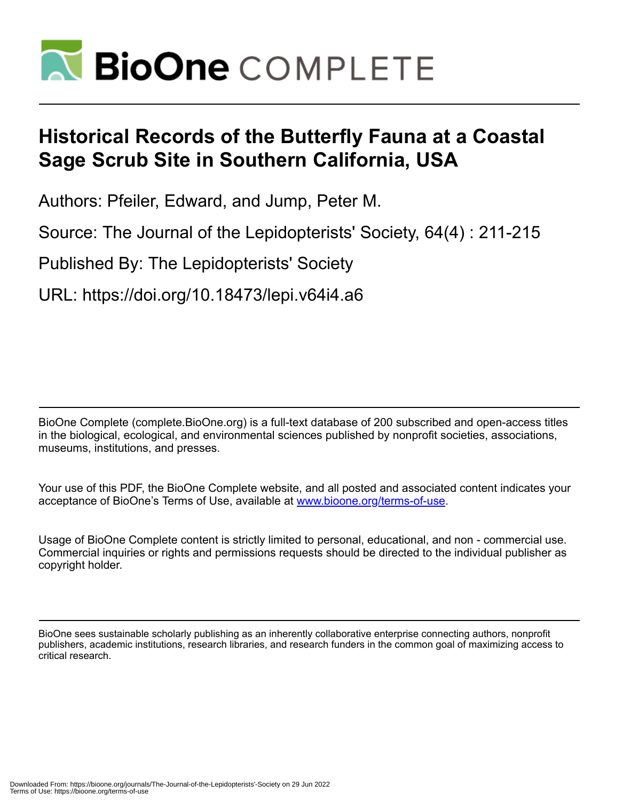

# **Historical Records of the Butterfly Fauna at a Coastal Sage Scrub Site in Southern California, USA**

Authors: Pfeiler, Edward, and Jump, Peter M.

Source: The Journal of the Lepidopterists' Society, 64(4) : 211-215

Published By: The Lepidopterists' Society

URL: https://doi.org/10.18473/lepi.v64i4.a6

BioOne Complete (complete.BioOne.org) is a full-text database of 200 subscribed and open-access titles in the biological, ecological, and environmental sciences published by nonprofit societies, associations, museums, institutions, and presses.

Your use of this PDF, the BioOne Complete website, and all posted and associated content indicates your acceptance of BioOne's Terms of Use, available at www.bioone.org/terms-of-use.

Usage of BioOne Complete content is strictly limited to personal, educational, and non - commercial use. Commercial inquiries or rights and permissions requests should be directed to the individual publisher as copyright holder.

BioOne sees sustainable scholarly publishing as an inherently collaborative enterprise connecting authors, nonprofit publishers, academic institutions, research libraries, and research funders in the common goal of maximizing access to critical research.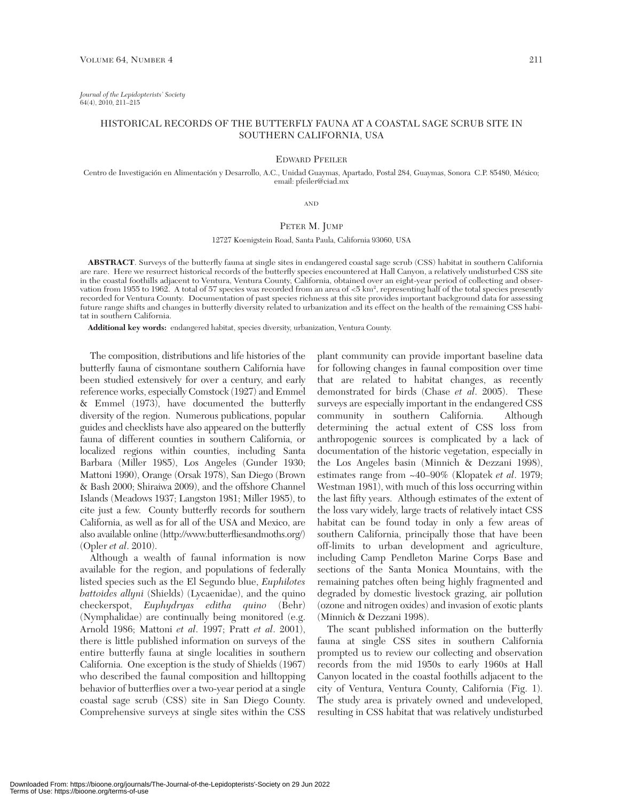*Journal of the Lepidopterists' Society* 64(4), 2010, 211–215

## HISTORICAL RECORDS OF THE BUTTERFLY FAUNA AT A COASTAL SAGE SCRUB SITE IN SOUTHERN CALIFORNIA, USA

## EDWARD PFEILER

Centro de Investigación en Alimentación y Desarrollo, A.C., Unidad Guaymas, Apartado, Postal 284, Guaymas, Sonora C.P. 85480, México; email: pfeiler@ciad.mx

AND

# PETER M. JUMP

12727 Koenigstein Road, Santa Paula, California 93060, USA

**ABSTRACT**. Surveys of the butterfly fauna at single sites in endangered coastal sage scrub (CSS) habitat in southern California are rare. Here we resurrect historical records of the butterfly species encountered at Hall Canyon, a relatively undisturbed CSS site in the coastal foothills adjacent to Ventura, Ventura County, California, obtained over an eight-year period of collecting and observation from 1955 to 1962. A total of 57 species was recorded from an area of  $<$ 5 km², representing half of the total species presently recorded for Ventura County. Documentation of past species richness at this site provides important background data for assessing future range shifts and changes in butterfly diversity related to urbanization and its effect on the health of the remaining CSS habitat in southern California.

**Additional key words:** endangered habitat, species diversity, urbanization, Ventura County.

The composition, distributions and life histories of the butterfly fauna of cismontane southern California have been studied extensively for over a century, and early reference works, especially Comstock (1927) and Emmel & Emmel (1973), have documented the butterfly diversity of the region. Numerous publications, popular guides and checklists have also appeared on the butterfly fauna of different counties in southern California, or localized regions within counties, including Santa Barbara (Miller 1985), Los Angeles (Gunder 1930; Mattoni 1990), Orange (Orsak 1978), San Diego (Brown & Bash 2000; Shiraiwa 2009), and the offshore Channel Islands (Meadows 1937; Langston 1981; Miller 1985), to cite just a few. County butterfly records for southern California, as well as for all of the USA and Mexico, are also available online (http://www.butterfliesandmoths.org/) (Opler *et al*. 2010).

Although a wealth of faunal information is now available for the region, and populations of federally listed species such as the El Segundo blue, *Euphilotes battoides allyni* (Shields) (Lycaenidae), and the quino checkerspot, *Euphydryas editha quino* (Behr) (Nymphalidae) are continually being monitored (e.g. Arnold 1986; Mattoni *et al*. 1997; Pratt *et al*. 2001), there is little published information on surveys of the entire butterfly fauna at single localities in southern California. One exception is the study of Shields (1967) who described the faunal composition and hilltopping behavior of butterflies over a two-year period at a single coastal sage scrub (CSS) site in San Diego County. Comprehensive surveys at single sites within the CSS

plant community can provide important baseline data for following changes in faunal composition over time that are related to habitat changes, as recently demonstrated for birds (Chase *et al*. 2005). These surveys are especially important in the endangered CSS community in southern California. Although determining the actual extent of CSS loss from anthropogenic sources is complicated by a lack of documentation of the historic vegetation, especially in the Los Angeles basin (Minnich & Dezzani 1998), estimates range from ~40–90% (Klopatek *et al*. 1979; Westman 1981), with much of this loss occurring within the last fifty years. Although estimates of the extent of the loss vary widely, large tracts of relatively intact CSS habitat can be found today in only a few areas of southern California, principally those that have been off-limits to urban development and agriculture, including Camp Pendleton Marine Corps Base and sections of the Santa Monica Mountains, with the remaining patches often being highly fragmented and degraded by domestic livestock grazing, air pollution (ozone and nitrogen oxides) and invasion of exotic plants (Minnich & Dezzani 1998).

The scant published information on the butterfly fauna at single CSS sites in southern California prompted us to review our collecting and observation records from the mid 1950s to early 1960s at Hall Canyon located in the coastal foothills adjacent to the city of Ventura, Ventura County, California (Fig. 1). The study area is privately owned and undeveloped, resulting in CSS habitat that was relatively undisturbed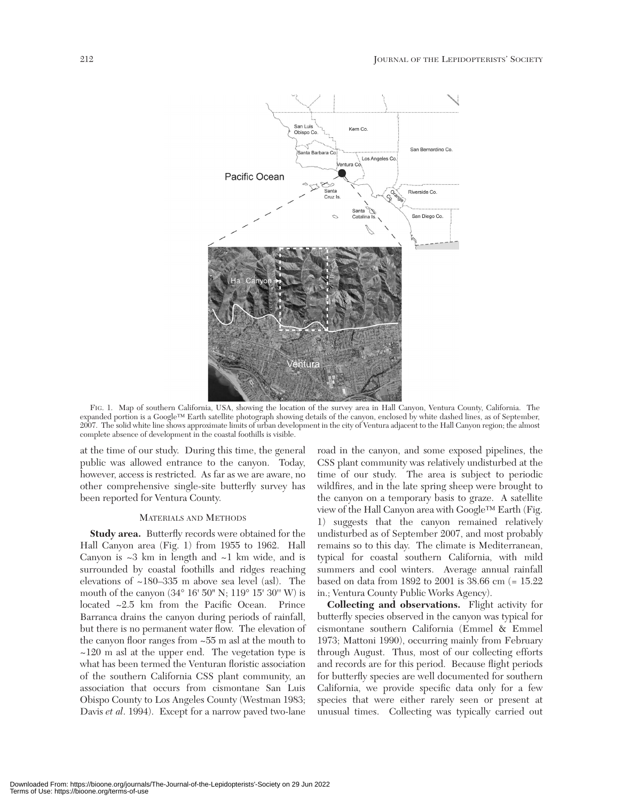

FIG. 1. Map of southern California, USA, showing the location of the survey area in Hall Canyon, Ventura County, California. The expanded portion is a Google™ Earth satellite photograph showing details of the canyon, enclosed by white dashed lines, as of September, 2007. The solid white line shows approximate limits of urban development in the city of Ventura adjacent to the Hall Canyon region; the almost complete absence of development in the coastal foothills is visible.

at the time of our study. During this time, the general public was allowed entrance to the canyon. Today, however, access is restricted. As far as we are aware, no other comprehensive single-site butterfly survey has been reported for Ventura County.

## MATERIALS AND METHODS

**Study area.** Butterfly records were obtained for the Hall Canyon area (Fig. 1) from 1955 to 1962. Hall Canyon is  $\sim$ 3 km in length and  $\sim$ 1 km wide, and is surrounded by coastal foothills and ridges reaching elevations of ~180–335 m above sea level (asl). The mouth of the canyon (34° 16' 50" N; 119° 15' 30'' W) is located ~2.5 km from the Pacific Ocean. Prince Barranca drains the canyon during periods of rainfall, but there is no permanent water flow. The elevation of the canyon floor ranges from ~55 m asl at the mouth to  $\sim$ 120 m asl at the upper end. The vegetation type is what has been termed the Venturan floristic association of the southern California CSS plant community, an association that occurs from cismontane San Luis Obispo County to Los Angeles County (Westman 1983; Davis *et al*. 1994). Except for a narrow paved two-lane

road in the canyon, and some exposed pipelines, the CSS plant community was relatively undisturbed at the time of our study. The area is subject to periodic wildfires, and in the late spring sheep were brought to the canyon on a temporary basis to graze. A satellite view of the Hall Canyon area with Google™ Earth (Fig. 1) suggests that the canyon remained relatively undisturbed as of September 2007, and most probably remains so to this day. The climate is Mediterranean, typical for coastal southern California, with mild summers and cool winters. Average annual rainfall based on data from 1892 to 2001 is 38.66 cm (= 15.22 in.; Ventura County Public Works Agency).

**Collecting and observations.** Flight activity for butterfly species observed in the canyon was typical for cismontane southern California (Emmel & Emmel 1973; Mattoni 1990), occurring mainly from February through August. Thus, most of our collecting efforts and records are for this period. Because flight periods for butterfly species are well documented for southern California, we provide specific data only for a few species that were either rarely seen or present at unusual times. Collecting was typically carried out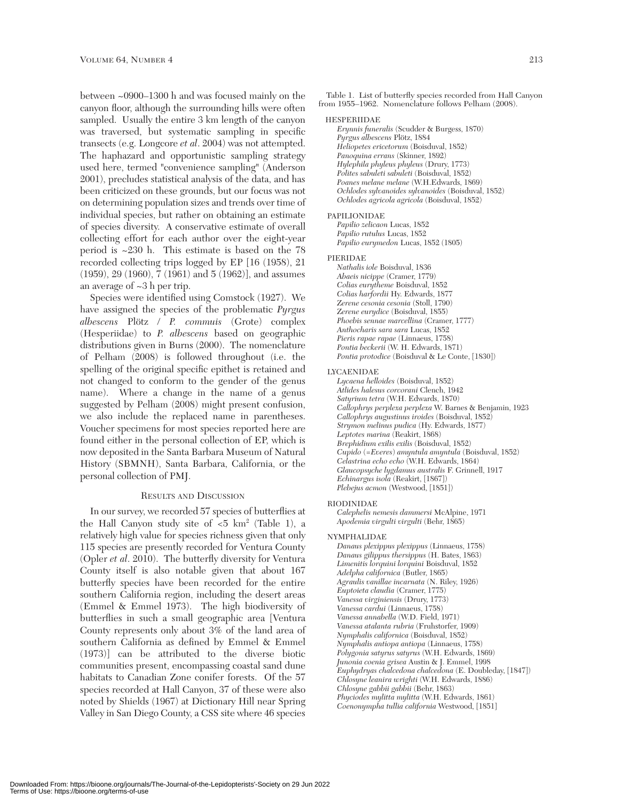between ~0900–1300 h and was focused mainly on the canyon floor, although the surrounding hills were often sampled. Usually the entire 3 km length of the canyon was traversed, but systematic sampling in specific transects (e.g. Longcore *et al*. 2004) was not attempted. The haphazard and opportunistic sampling strategy used here, termed "convenience sampling" (Anderson 2001), precludes statistical analysis of the data, and has been criticized on these grounds, but our focus was not on determining population sizes and trends over time of individual species, but rather on obtaining an estimate of species diversity. A conservative estimate of overall collecting effort for each author over the eight-year period is ~230 h. This estimate is based on the 78 recorded collecting trips logged by EP [16 (1958), 21 (1959), 29 (1960), 7 (1961) and 5 (1962)], and assumes an average of ~3 h per trip.

Species were identified using Comstock (1927). We have assigned the species of the problematic *Pyrgus albescens* Plötz / *P. commuis* (Grote) complex (Hesperiidae) to *P. albescens* based on geographic distributions given in Burns (2000). The nomenclature of Pelham (2008) is followed throughout (i.e. the spelling of the original specific epithet is retained and not changed to conform to the gender of the genus name). Where a change in the name of a genus suggested by Pelham (2008) might present confusion, we also include the replaced name in parentheses. Voucher specimens for most species reported here are found either in the personal collection of EP, which is now deposited in the Santa Barbara Museum of Natural History (SBMNH), Santa Barbara, California, or the personal collection of PMJ.

## RESULTS AND DISCUSSION

In our survey, we recorded 57 species of butterflies at the Hall Canyon study site of  $\langle 5 \text{ km}^2 \text{ (Table 1)}, \text{ a} \rangle$ relatively high value for species richness given that only 115 species are presently recorded for Ventura County (Opler *et al*. 2010). The butterfly diversity for Ventura County itself is also notable given that about 167 butterfly species have been recorded for the entire southern California region, including the desert areas (Emmel & Emmel 1973). The high biodiversity of butterflies in such a small geographic area [Ventura County represents only about 3% of the land area of southern California as defined by Emmel & Emmel (1973)] can be attributed to the diverse biotic communities present, encompassing coastal sand dune habitats to Canadian Zone conifer forests. Of the 57 species recorded at Hall Canyon, 37 of these were also noted by Shields (1967) at Dictionary Hill near Spring Valley in San Diego County, a CSS site where 46 species

Table 1. List of butterfly species recorded from Hall Canyon from 1955–1962. Nomenclature follows Pelham (2008).

## HESPERIIDAE

*Erynnis funeralis* (Scudder & Burgess, 1870) *Pyrgus albescens* Plötz, 1884 *Heliopetes ericetorum* (Boisduval, 1852) *Panoquina errans* (Skinner, 1892) *Hylephila phyleus phyleus* (Drury, 1773) *Polites sabuleti sabuleti* (Boisduval, 1852) *Poanes melane melane* (W.H.Edwards, 1869) *Ochlodes sylvanoides sylvanoides* (Boisduval, 1852) *Ochlodes agricola agricola* (Boisduval, 1852)

## PAPILIONIDAE

*Papilio zelicaon* Lucas, 1852 *Papilio rutulus* Lucas, 1852 *Papilio eurymedon* Lucas, 1852 (1805)

## PIERIDAE

*Nathalis iole* Boisduval, 1836 *Abaeis nicippe* (Cramer, 1779) *Colias eurytheme* Boisduval, 1852 *Colias harfordii* Hy. Edwards, 1877 *Zerene cesonia cesonia* (Stoll, 1790) *Zerene eurydice* (Boisduval, 1855) *Phoebis sennae marcellina* (Cramer, 1777) *Anthocharis sara sara* Lucas, 1852 *Pieris rapae rapae* (Linnaeus, 1758) *Pontia beckerii* (W. H. Edwards, 1871) *Pontia protodice* (Boisduval & Le Conte, [1830])

## LYCAENIDAE

*Lycaena helloides* (Boisduval, 1852) *Atlides halesus corcorani* Clench, 1942 *Satyrium tetra* (W.H. Edwards, 1870) *Callophrys perplexa perplexa* W. Barnes & Benjamin, 1923 *Callophrys augustinus iroides* (Boisduval, 1852) *Strymon melinus pudica* (Hy. Edwards, 1877) *Leptotes marina* (Reakirt, 1868) *Brephidium exilis exilis* (Boisduval, 1852) *Cupido* (=*Everes*) *amyntula amyntula* (Boisduval, 1852) *Celastrina echo echo* (W.H. Edwards, 1864) *Glaucopsyche lygdamus australis* F. Grinnell, 1917 *Echinargus isola* (Reakirt, [1867]) *Plebejus acmon* (Westwood, [1851])

## RIODINIDAE

*Calephelis nemesis dammersi* McAlpine, 1971 *Apodemia virgulti virgulti* (Behr, 1865)

#### NYMPHALIDAE

*Danaus plexippus plexippus* (Linnaeus, 1758) *Danaus gilippus thersippus* (H. Bates, 1863) *Limenitis lorquini lorquini* Boisduval, 1852 *Adelpha californica* (Butler, 1865) *Agraulis vanillae incarnata* (N. Riley, 1926) *Euptoieta claudia* (Cramer, 1775) *Vanessa virginiensis* (Drury, 1773) *Vanessa cardui* (Linnaeus, 1758) *Vanessa annabella* (W.D. Field, 1971) *Vanessa atalanta rubria* (Fruhstorfer, 1909) *Nymphalis californica* (Boisduval, 1852) *Nymphalis antiopa antiopa* (Linnaeus, 1758) *Polygonia satyrus satyrus* (W.H. Edwards, 1869) *Junonia coenia grisea* Austin & J. Emmel, 1998 *Euphydryas chalcedona chalcedona* (E. Doubleday, [1847]) *Chlosyne leanira wrighti* (W.H. Edwards, 1886) *Chlosyne gabbii gabbii* (Behr, 1863) *Phyciodes mylitta mylitta* (W.H. Edwards, 1861) *Coenonympha tullia california* Westwood, [1851]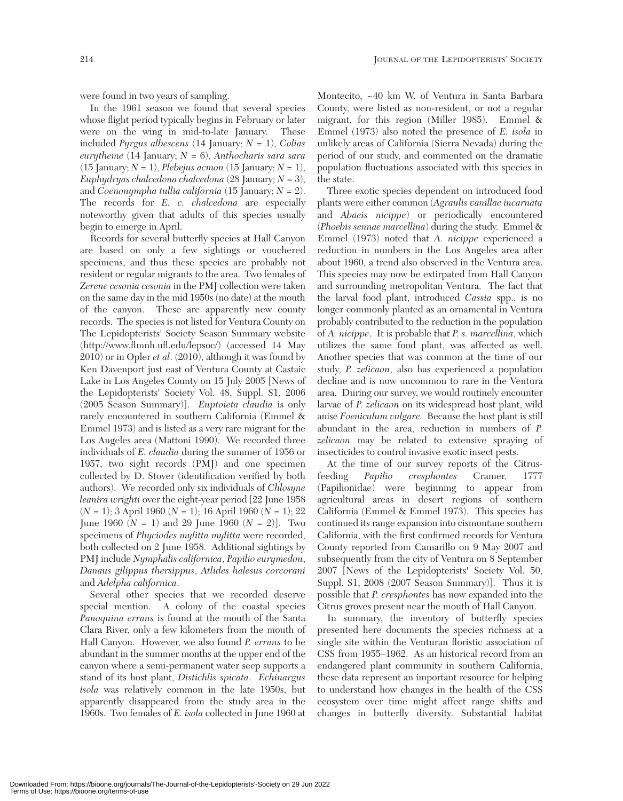were found in two years of sampling.

In the 1961 season we found that several species whose flight period typically begins in February or later were on the wing in mid-to-late January. These included *Pyrgus albescens* (14 January; *N* = 1), *Colias eurytheme* (14 January; *N* = 6), *Anthocharis sara sara* (15 January;  $N = 1$ ), *Plebejus acmon* (15 January;  $N = 1$ ), *Euphydryas chalcedona chalcedona* (28 January; *N* = 3), and *Coenonympha tullia california* (15 January; *N* = 2). The records for *E. c. chalcedona* are especially noteworthy given that adults of this species usually begin to emerge in April.

Records for several butterfly species at Hall Canyon are based on only a few sightings or vouchered specimens, and thus these species are probably not resident or regular migrants to the area. Two females of *Zerene cesonia cesonia* in the PMJ collection were taken on the same day in the mid 1950s (no date) at the mouth of the canyon. These are apparently new county records. The species is not listed for Ventura County on The Lepidopterists' Society Season Summary website (http://www.flmnh.ufl.edu/lepsoc/) (accessed 14 May 2010) or in Opler *et al*. (2010), although it was found by Ken Davenport just east of Ventura County at Castaic Lake in Los Angeles County on 15 July 2005 [News of the Lepidopterists' Society Vol. 48, Suppl. S1, 2006 (2005 Season Summary)]. *Euptoieta claudia* is only rarely encountered in southern California (Emmel & Emmel 1973) and is listed as a very rare migrant for the Los Angeles area (Mattoni 1990). We recorded three individuals of *E. claudia* during the summer of 1956 or 1957, two sight records (PMJ) and one specimen collected by D. Stover (identification verified by both authors). We recorded only six individuals of *Chlosyne leanira wrighti* over the eight-year period [22 June 1958 (*N* = 1); 3 April 1960 (*N* = 1); 16 April 1960 (*N* = 1); 22 June 1960 ( $N = 1$ ) and 29 June 1960 ( $N = 2$ ). Two specimens of *Phyciodes mylitta mylitta* were recorded, both collected on 2 June 1958. Additional sightings by PMJ include *Nymphalis californica*, *Papilio eurymedon*, *Danaus gilippus thersippus*, *Atlides halesus corcorani* and *Adelpha californica*.

Several other species that we recorded deserve special mention. A colony of the coastal species *Panoquina errans* is found at the mouth of the Santa Clara River, only a few kilometers from the mouth of Hall Canyon. However, we also found *P. errans* to be abundant in the summer months at the upper end of the canyon where a semi-permanent water seep supports a stand of its host plant, *Distichlis spicata*. *Echinargus isola* was relatively common in the late 1950s, but apparently disappeared from the study area in the 1960s. Two females of *E. isola* collected in June 1960 at

Montecito, ~40 km W. of Ventura in Santa Barbara County, were listed as non-resident, or not a regular migrant, for this region (Miller 1985). Emmel & Emmel (1973) also noted the presence of *E. isola* in unlikely areas of California (Sierra Nevada) during the period of our study, and commented on the dramatic population fluctuations associated with this species in the state.

Three exotic species dependent on introduced food plants were either common (*Agraulis vanillae incarnata* and *Abaeis nicippe*) or periodically encountered (*Phoebis sennae marcellina*) during the study. Emmel & Emmel (1973) noted that *A. nicippe* experienced a reduction in numbers in the Los Angeles area after about 1960, a trend also observed in the Ventura area. This species may now be extirpated from Hall Canyon and surrounding metropolitan Ventura. The fact that the larval food plant, introduced *Cassia* spp., is no longer commonly planted as an ornamental in Ventura probably contributed to the reduction in the population of *A. nicippe*. It is probable that *P. s. marcellina*, which utilizes the same food plant, was affected as well. Another species that was common at the time of our study, *P. zelicaon*, also has experienced a population decline and is now uncommon to rare in the Ventura area. During our survey, we would routinely encounter larvae of *P. zelicaon* on its widespread host plant, wild anise *Foeniculum vulgare.* Because the host plant is still abundant in the area, reduction in numbers of *P. zelicaon* may be related to extensive spraying of insecticides to control invasive exotic insect pests.

At the time of our survey reports of the Citrusfeeding *Papilio cresphontes* Cramer, 1777 (Papilionidae) were beginning to appear from agricultural areas in desert regions of southern California (Emmel & Emmel 1973). This species has continued its range expansion into cismontane southern California, with the first confirmed records for Ventura County reported from Camarillo on 9 May 2007 and subsequently from the city of Ventura on 8 September 2007 [News of the Lepidopterists' Society Vol. 50, Suppl. S1, 2008 (2007 Season Summary)]. Thus it is possible that *P. cresphontes* has now expanded into the Citrus groves present near the mouth of Hall Canyon.

In summary, the inventory of butterfly species presented here documents the species richness at a single site within the Venturan floristic association of CSS from 1955–1962. As an historical record from an endangered plant community in southern California, these data represent an important resource for helping to understand how changes in the health of the CSS ecosystem over time might affect range shifts and changes in butterfly diversity. Substantial habitat